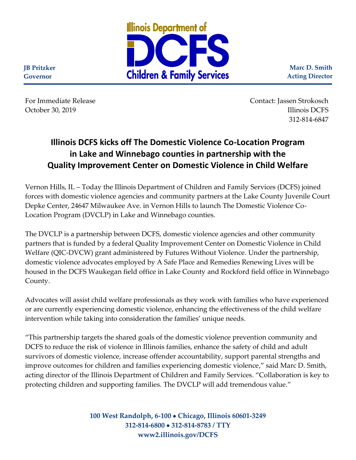

**Marc D. Smith Acting Director**

For Immediate Release Contact: Jassen Strokosch October 30, 2019 **Illinois DCFS** 312-814-6847

## **Illinois DCFS kicks off The Domestic Violence Co-Location Program in Lake and Winnebago counties in partnership with the Quality Improvement Center on Domestic Violence in Child Welfare**

Vernon Hills, IL – Today the Illinois Department of Children and Family Services (DCFS) joined forces with domestic violence agencies and community partners at the Lake County Juvenile Court Depke Center, 24647 Milwaukee Ave. in Vernon Hills to launch The Domestic Violence Co-Location Program (DVCLP) in Lake and Winnebago counties.

The DVCLP is a partnership between DCFS, domestic violence agencies and other community partners that is funded by a federal Quality Improvement Center on Domestic Violence in Child Welfare (QIC-DVCW) grant administered by Futures Without Violence. Under the partnership, domestic violence advocates employed by A Safe Place and Remedies Renewing Lives will be housed in the DCFS Waukegan field office in Lake County and Rockford field office in Winnebago County.

Advocates will assist child welfare professionals as they work with families who have experienced or are currently experiencing domestic violence, enhancing the effectiveness of the child welfare intervention while taking into consideration the families' unique needs.

"This partnership targets the shared goals of the domestic violence prevention community and DCFS to reduce the risk of violence in Illinois families, enhance the safety of child and adult survivors of domestic violence, increase offender accountability, support parental strengths and improve outcomes for children and families experiencing domestic violence," said Marc D. Smith, acting director of the Illinois Department of Children and Family Services. "Collaboration is key to protecting children and supporting families. The DVCLP will add tremendous value."

> **100 West Randolph, 6-100** • **Chicago, Illinois 60601-3249 312-814-6800** • **312-814-8783 / TTY www2.illinois.gov/DCFS**

**JB Pritzker Governor**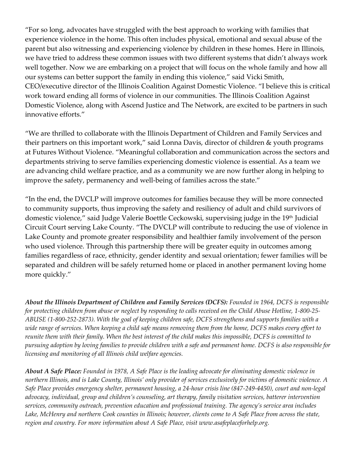"For so long, advocates have struggled with the best approach to working with families that experience violence in the home. This often includes physical, emotional and sexual abuse of the parent but also witnessing and experiencing violence by children in these homes. Here in Illinois, we have tried to address these common issues with two different systems that didn't always work well together. Now we are embarking on a project that will focus on the whole family and how all our systems can better support the family in ending this violence," said Vicki Smith, CEO/executive director of the Illinois Coalition Against Domestic Violence. "I believe this is critical work toward ending all forms of violence in our communities. The Illinois Coalition Against Domestic Violence, along with Ascend Justice and The Network, are excited to be partners in such innovative efforts."

"We are thrilled to collaborate with the Illinois Department of Children and Family Services and their partners on this important work," said Lonna Davis, director of children & youth programs at Futures Without Violence. "Meaningful collaboration and communication across the sectors and departments striving to serve families experiencing domestic violence is essential. As a team we are advancing child welfare practice, and as a community we are now further along in helping to improve the safety, permanency and well-being of families across the state."

"In the end, the DVCLP will improve outcomes for families because they will be more connected to community supports, thus improving the safety and resiliency of adult and child survivors of domestic violence," said Judge Valerie Boettle Ceckowski, supervising judge in the 19<sup>th</sup> Judicial Circuit Court serving Lake County. "The DVCLP will contribute to reducing the use of violence in Lake County and promote greater responsibility and healthier family involvement of the person who used violence. Through this partnership there will be greater equity in outcomes among families regardless of race, ethnicity, gender identity and sexual orientation; fewer families will be separated and children will be safely returned home or placed in another permanent loving home more quickly."

*About the Illinois Department of Children and Family Services (DCFS): Founded in 1964, DCFS is responsible for protecting children from abuse or neglect by responding to calls received on the Child Abuse Hotline, 1-800-25- ABUSE (1-800-252-2873). With the goal of keeping children safe, DCFS strengthens and supports families with a wide range of services. When keeping a child safe means removing them from the home, DCFS makes every effort to reunite them with their family. When the best interest of the child makes this impossible, DCFS is committed to pursuing adoption by loving families to provide children with a safe and permanent home. DCFS is also responsible for licensing and monitoring of all Illinois child welfare agencies.*

*About A Safe Place: Founded in 1978, A Safe Place is the leading advocate for eliminating domestic violence in northern Illinois, and is Lake County, Illinois' only provider of services exclusively for victims of domestic violence. A Safe Place provides emergency shelter, permanent housing, a 24-hour crisis line (847-249-4450), court and non-legal advocacy, individual, group and children's counseling, art therapy, family visitation services, batterer intervention services, community outreach, prevention education and professional training. The agency's service area includes*  Lake, McHenry and northern Cook counties in Illinois; however, clients come to A Safe Place from across the state, *region and country. For more information about A Safe Place, visit www.asafeplaceforhelp.org.*